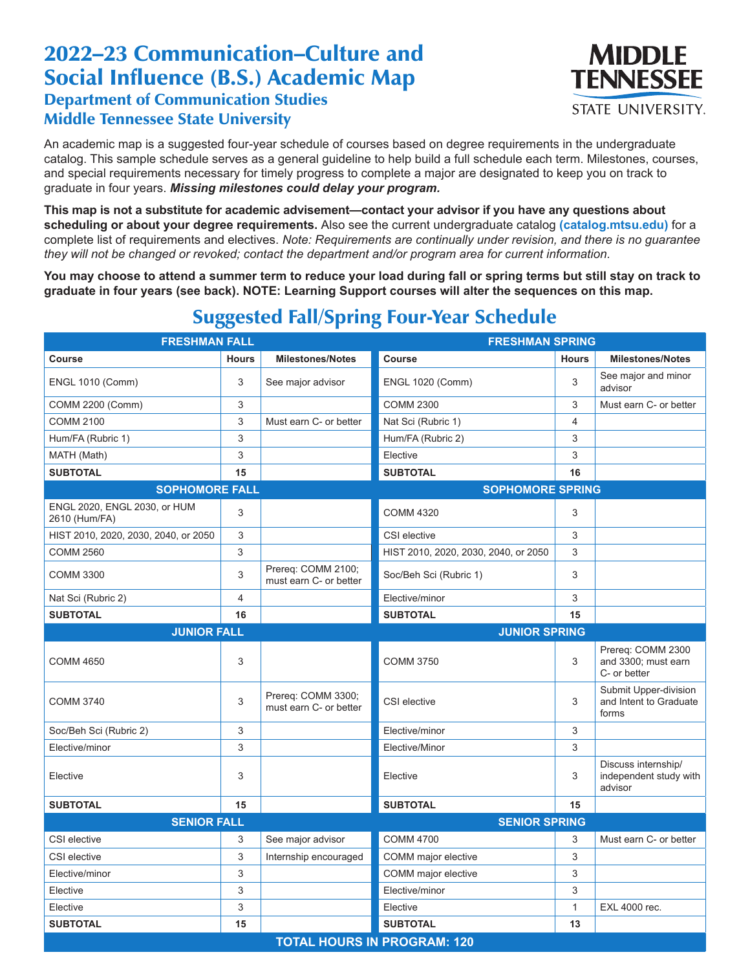## 2022–23 Communication–Culture and Social Influence (B.S.) Academic Map Department of Communication Studies Middle Tennessee State University



An academic map is a suggested four-year schedule of courses based on degree requirements in the undergraduate catalog. This sample schedule serves as a general guideline to help build a full schedule each term. Milestones, courses, and special requirements necessary for timely progress to complete a major are designated to keep you on track to graduate in four years. *Missing milestones could delay your program.*

**This map is not a substitute for academic advisement—contact your advisor if you have any questions about scheduling or about your degree requirements.** Also see the current undergraduate catalog **(catalog.mtsu.edu)** for a complete list of requirements and electives. *Note: Requirements are continually under revision, and there is no guarantee they will not be changed or revoked; contact the department and/or program area for current information.*

**You may choose to attend a summer term to reduce your load during fall or spring terms but still stay on track to graduate in four years (see back). NOTE: Learning Support courses will alter the sequences on this map.**

| <b>FRESHMAN FALL</b>                          |              | <b>FRESHMAN SPRING</b>                       |                                      |              |                                                          |  |  |  |
|-----------------------------------------------|--------------|----------------------------------------------|--------------------------------------|--------------|----------------------------------------------------------|--|--|--|
| Course                                        | <b>Hours</b> | <b>Milestones/Notes</b>                      | <b>Course</b>                        | <b>Hours</b> | <b>Milestones/Notes</b>                                  |  |  |  |
| <b>ENGL 1010 (Comm)</b>                       | 3            | See major advisor                            | <b>ENGL 1020 (Comm)</b>              | 3            | See major and minor<br>advisor                           |  |  |  |
| COMM 2200 (Comm)                              | 3            |                                              | <b>COMM 2300</b>                     | 3            | Must earn C- or better                                   |  |  |  |
| <b>COMM 2100</b>                              | 3            | Must earn C- or better                       | Nat Sci (Rubric 1)                   | 4            |                                                          |  |  |  |
| Hum/FA (Rubric 1)                             | 3            |                                              | Hum/FA (Rubric 2)                    | 3            |                                                          |  |  |  |
| MATH (Math)                                   | 3            |                                              | Elective                             | 3            |                                                          |  |  |  |
| <b>SUBTOTAL</b>                               | 15           |                                              | <b>SUBTOTAL</b>                      | 16           |                                                          |  |  |  |
| <b>SOPHOMORE FALL</b>                         |              | <b>SOPHOMORE SPRING</b>                      |                                      |              |                                                          |  |  |  |
| ENGL 2020, ENGL 2030, or HUM<br>2610 (Hum/FA) | 3            |                                              | <b>COMM 4320</b>                     | 3            |                                                          |  |  |  |
| HIST 2010, 2020, 2030, 2040, or 2050          | 3            |                                              | CSI elective                         | 3            |                                                          |  |  |  |
| <b>COMM 2560</b>                              | 3            |                                              | HIST 2010, 2020, 2030, 2040, or 2050 | 3            |                                                          |  |  |  |
| <b>COMM 3300</b>                              | 3            | Prereq: COMM 2100;<br>must earn C- or better | Soc/Beh Sci (Rubric 1)               | 3            |                                                          |  |  |  |
| Nat Sci (Rubric 2)                            | 4            |                                              | Elective/minor                       | 3            |                                                          |  |  |  |
| <b>SUBTOTAL</b>                               | 16           |                                              | <b>SUBTOTAL</b>                      | 15           |                                                          |  |  |  |
| <b>JUNIOR FALL</b>                            |              |                                              | <b>JUNIOR SPRING</b>                 |              |                                                          |  |  |  |
| <b>COMM 4650</b>                              | 3            |                                              | <b>COMM 3750</b>                     | 3            | Prereq: COMM 2300<br>and 3300; must earn<br>C- or better |  |  |  |
| <b>COMM 3740</b>                              | 3            | Prereq: COMM 3300;<br>must earn C- or better | CSI elective                         | 3            | Submit Upper-division<br>and Intent to Graduate<br>forms |  |  |  |
| Soc/Beh Sci (Rubric 2)                        | 3            |                                              | Elective/minor                       | 3            |                                                          |  |  |  |
| Elective/minor                                | 3            |                                              | Elective/Minor                       | 3            |                                                          |  |  |  |
| Elective                                      | 3            |                                              | Elective                             | 3            | Discuss internship/<br>independent study with<br>advisor |  |  |  |
| <b>SUBTOTAL</b>                               | 15           |                                              | <b>SUBTOTAL</b>                      | 15           |                                                          |  |  |  |
| <b>SENIOR FALL</b><br><b>SENIOR SPRING</b>    |              |                                              |                                      |              |                                                          |  |  |  |
| CSI elective                                  | 3            | See major advisor                            | <b>COMM 4700</b>                     | 3            | Must earn C- or better                                   |  |  |  |
| CSI elective                                  | 3            | Internship encouraged                        | COMM major elective                  | 3            |                                                          |  |  |  |
| Elective/minor                                | 3            |                                              | COMM major elective                  | 3            |                                                          |  |  |  |
| Elective                                      | 3            |                                              | Elective/minor                       | 3            |                                                          |  |  |  |
| Elective                                      | 3            |                                              | Elective                             | $\mathbf{1}$ | EXL 4000 rec.                                            |  |  |  |
| <b>SUBTOTAL</b>                               | 15           |                                              | <b>SUBTOTAL</b>                      | 13           |                                                          |  |  |  |
| <b>TOTAL HOURS IN PROGRAM: 120</b>            |              |                                              |                                      |              |                                                          |  |  |  |

## Suggested Fall/Spring Four-Year Schedule